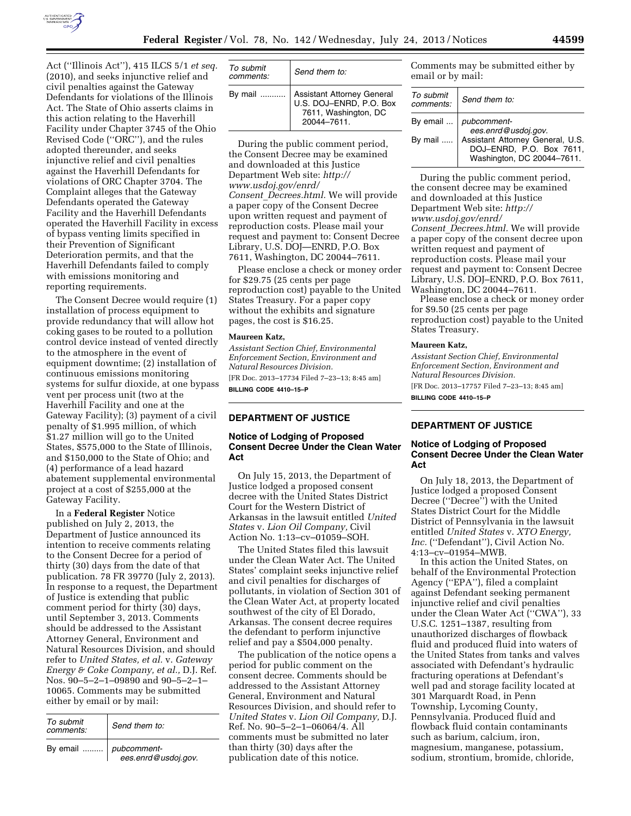

Act (''Illinois Act''), 415 ILCS 5/1 *et seq.*  (2010), and seeks injunctive relief and civil penalties against the Gateway Defendants for violations of the Illinois Act. The State of Ohio asserts claims in this action relating to the Haverhill Facility under Chapter 3745 of the Ohio Revised Code (''ORC''), and the rules adopted thereunder, and seeks injunctive relief and civil penalties against the Haverhill Defendants for violations of ORC Chapter 3704. The Complaint alleges that the Gateway Defendants operated the Gateway Facility and the Haverhill Defendants operated the Haverhill Facility in excess of bypass venting limits specified in their Prevention of Significant Deterioration permits, and that the Haverhill Defendants failed to comply with emissions monitoring and reporting requirements.

The Consent Decree would require (1) installation of process equipment to provide redundancy that will allow hot coking gases to be routed to a pollution control device instead of vented directly to the atmosphere in the event of equipment downtime; (2) installation of continuous emissions monitoring systems for sulfur dioxide, at one bypass vent per process unit (two at the Haverhill Facility and one at the Gateway Facility); (3) payment of a civil penalty of \$1.995 million, of which \$1.27 million will go to the United States, \$575,000 to the State of Illinois, and \$150,000 to the State of Ohio; and (4) performance of a lead hazard abatement supplemental environmental project at a cost of \$255,000 at the Gateway Facility.

In a **Federal Register** Notice published on July 2, 2013, the Department of Justice announced its intention to receive comments relating to the Consent Decree for a period of thirty (30) days from the date of that publication. 78 FR 39770 (July 2, 2013). In response to a request, the Department of Justice is extending that public comment period for thirty (30) days, until September 3, 2013. Comments should be addressed to the Assistant Attorney General, Environment and Natural Resources Division, and should refer to *United States, et al.* v. *Gateway Energy & Coke Company, et al.,* D.J. Ref. Nos. 90–5–2–1–09890 and 90–5–2–1– 10065. Comments may be submitted either by email or by mail:

| To submit<br>comments: | Send them to:                      |
|------------------------|------------------------------------|
| By email               | pubcomment-<br>ees.enrd@usdoj.gov. |

| To submit<br>comments: | Send them to:                                                                                         |
|------------------------|-------------------------------------------------------------------------------------------------------|
|                        | By mail  Assistant Attorney General<br>U.S. DOJ-ENRD, P.O. Box<br>7611, Washington, DC<br>20044-7611. |

During the public comment period, the Consent Decree may be examined and downloaded at this Justice Department Web site: *[http://](http://www.usdoj.gov/enrd/Consent_Decrees.html)  [www.usdoj.gov/enrd/](http://www.usdoj.gov/enrd/Consent_Decrees.html) Consent*\_*[Decrees.html.](http://www.usdoj.gov/enrd/Consent_Decrees.html)* We will provide a paper copy of the Consent Decree upon written request and payment of reproduction costs. Please mail your request and payment to: Consent Decree Library, U.S. DOJ—ENRD, P.O. Box 7611, Washington, DC 20044–7611.

Please enclose a check or money order for \$29.75 (25 cents per page reproduction cost) payable to the United States Treasury. For a paper copy without the exhibits and signature pages, the cost is \$16.25.

#### **Maureen Katz,**

*Assistant Section Chief, Environmental Enforcement Section, Environment and Natural Resources Division.*  [FR Doc. 2013–17734 Filed 7–23–13; 8:45 am] **BILLING CODE 4410–15–P** 

### **DEPARTMENT OF JUSTICE**

## **Notice of Lodging of Proposed Consent Decree Under the Clean Water Act**

On July 15, 2013, the Department of Justice lodged a proposed consent decree with the United States District Court for the Western District of Arkansas in the lawsuit entitled *United States* v. *Lion Oil Company,* Civil Action No. 1:13–cv–01059–SOH.

The United States filed this lawsuit under the Clean Water Act. The United States' complaint seeks injunctive relief and civil penalties for discharges of pollutants, in violation of Section 301 of the Clean Water Act, at property located southwest of the city of El Dorado, Arkansas. The consent decree requires the defendant to perform injunctive relief and pay a \$504,000 penalty.

The publication of the notice opens a period for public comment on the consent decree. Comments should be addressed to the Assistant Attorney General, Environment and Natural Resources Division, and should refer to *United States* v. *Lion Oil Company,* D.J. Ref. No. 90–5–2–1–06064/4. All comments must be submitted no later than thirty (30) days after the publication date of this notice.

Comments may be submitted either by email or by mail:

| To submit<br>comments: | Send them to:                                                                              |
|------------------------|--------------------------------------------------------------------------------------------|
|                        | By email    <i>pubcomment-</i><br>ees.enrd@usdoj.gov.                                      |
| By mail                | Assistant Attorney General, U.S.<br>DOJ-ENRD, P.O. Box 7611,<br>Washington, DC 20044-7611. |

During the public comment period, the consent decree may be examined and downloaded at this Justice Department Web site: *[http://](http://www.usdoj.gov/enrd/Consent_Decrees.html)  [www.usdoj.gov/enrd/](http://www.usdoj.gov/enrd/Consent_Decrees.html) Consent*\_*[Decrees.html.](http://www.usdoj.gov/enrd/Consent_Decrees.html)* We will provide a paper copy of the consent decree upon written request and payment of reproduction costs. Please mail your request and payment to: Consent Decree Library, U.S. DOJ–ENRD, P.O. Box 7611, Washington, DC 20044–7611.

Please enclose a check or money order for \$9.50 (25 cents per page reproduction cost) payable to the United States Treasury.

### **Maureen Katz,**

*Assistant Section Chief, Environmental Enforcement Section, Environment and Natural Resources Division.*  [FR Doc. 2013–17757 Filed 7–23–13; 8:45 am] **BILLING CODE 4410–15–P** 

# **DEPARTMENT OF JUSTICE**

# **Notice of Lodging of Proposed Consent Decree Under the Clean Water Act**

On July 18, 2013, the Department of Justice lodged a proposed Consent Decree (''Decree'') with the United States District Court for the Middle District of Pennsylvania in the lawsuit entitled *United States* v. *XTO Energy, Inc.* (''Defendant''), Civil Action No. 4:13–cv–01954–MWB.

In this action the United States, on behalf of the Environmental Protection Agency (''EPA''), filed a complaint against Defendant seeking permanent injunctive relief and civil penalties under the Clean Water Act (''CWA''), 33 U.S.C. 1251–1387, resulting from unauthorized discharges of flowback fluid and produced fluid into waters of the United States from tanks and valves associated with Defendant's hydraulic fracturing operations at Defendant's well pad and storage facility located at 301 Marquardt Road, in Penn Township, Lycoming County, Pennsylvania. Produced fluid and flowback fluid contain contaminants such as barium, calcium, iron, magnesium, manganese, potassium, sodium, strontium, bromide, chloride,